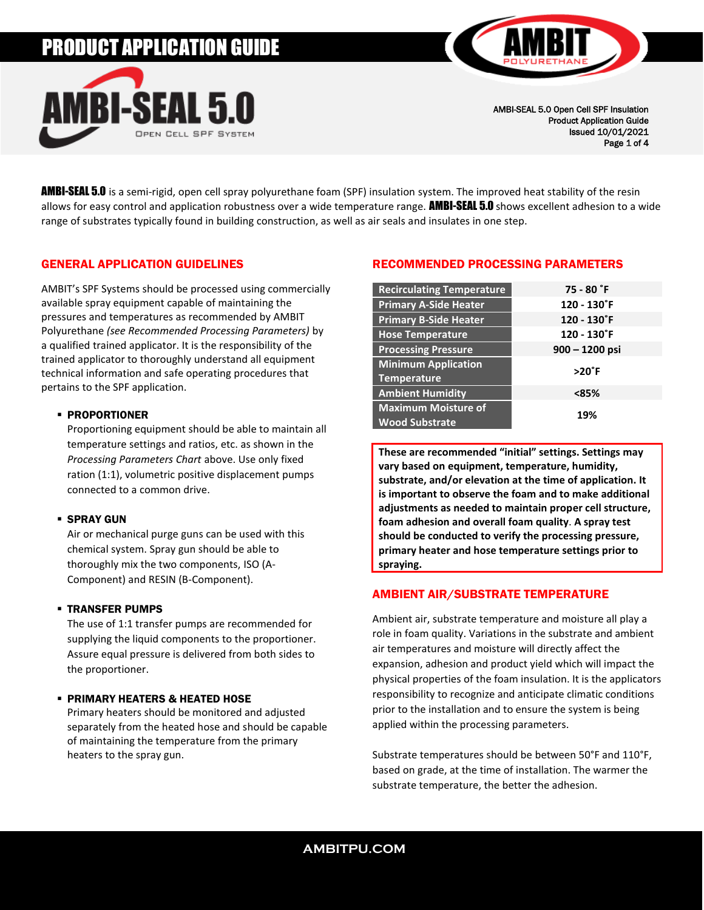# PRODUCT APPLICATION GUIDE





AMBI-SEAL 5.0 Open Cell SPF Insulation Product Application Guide Issued 10/01/2021 Page 1 of 4

**AMBI-SEAL 5.0** is a semi-rigid, open cell spray polyurethane foam (SPF) insulation system. The improved heat stability of the resin allows for easy control and application robustness over a wide temperature range. **AMBI-SEAL 5.0** shows excellent adhesion to a wide range of substrates typically found in building construction, as well as air seals and insulates in one step.

# GENERAL APPLICATION GUIDELINES

AMBIT's SPF Systems should be processed using commercially available spray equipment capable of maintaining the pressures and temperatures as recommended by AMBIT Polyurethane *(see Recommended Processing Parameters)* by a qualified trained applicator. It is the responsibility of the trained applicator to thoroughly understand all equipment technical information and safe operating procedures that pertains to the SPF application.

#### ▪ PROPORTIONER

Proportioning equipment should be able to maintain all temperature settings and ratios, etc. as shown in the *Processing Parameters Chart* above. Use only fixed ration (1:1), volumetric positive displacement pumps connected to a common drive.

#### **· SPRAY GUN**

Air or mechanical purge guns can be used with this chemical system. Spray gun should be able to thoroughly mix the two components, ISO (A-Component) and RESIN (B-Component).

# ▪ TRANSFER PUMPS

The use of 1:1 transfer pumps are recommended for supplying the liquid components to the proportioner. Assure equal pressure is delivered from both sides to the proportioner.

#### ▪ PRIMARY HEATERS & HEATED HOSE

Primary heaters should be monitored and adjusted separately from the heated hose and should be capable of maintaining the temperature from the primary heaters to the spray gun.

# RECOMMENDED PROCESSING PARAMETERS

| <b>Recirculating Temperature</b>                    | $75 - 80$ $\degree$ F |  |
|-----------------------------------------------------|-----------------------|--|
| <b>Primary A-Side Heater</b>                        | 120 - 130°F           |  |
| <b>Primary B-Side Heater</b>                        | 120 - 130°F           |  |
| <b>Hose Temperature</b>                             | 120 - 130°F           |  |
| <b>Processing Pressure</b>                          | $900 - 1200$ psi      |  |
| <b>Minimum Application</b>                          | $>20^\circ$ F         |  |
| <b>Temperature</b>                                  |                       |  |
| <b>Ambient Humidity</b>                             | <85%                  |  |
| <b>Maximum Moisture of</b><br><b>Wood Substrate</b> | 19%                   |  |

**These are recommended "initial" settings. Settings may vary based on equipment, temperature, humidity, substrate, and/or elevation at the time of application. It is important to observe the foam and to make additional adjustments as needed to maintain proper cell structure, foam adhesion and overall foam quality**. **A spray test should be conducted to verify the processing pressure, primary heater and hose temperature settings prior to spraying.**

# AMBIENT AIR/SUBSTRATE TEMPERATURE

Ambient air, substrate temperature and moisture all play a role in foam quality. Variations in the substrate and ambient air temperatures and moisture will directly affect the expansion, adhesion and product yield which will impact the physical properties of the foam insulation. It is the applicators responsibility to recognize and anticipate climatic conditions prior to the installation and to ensure the system is being applied within the processing parameters.

Substrate temperatures should be between 50°F and 110°F, based on grade, at the time of installation. The warmer the substrate temperature, the better the adhesion.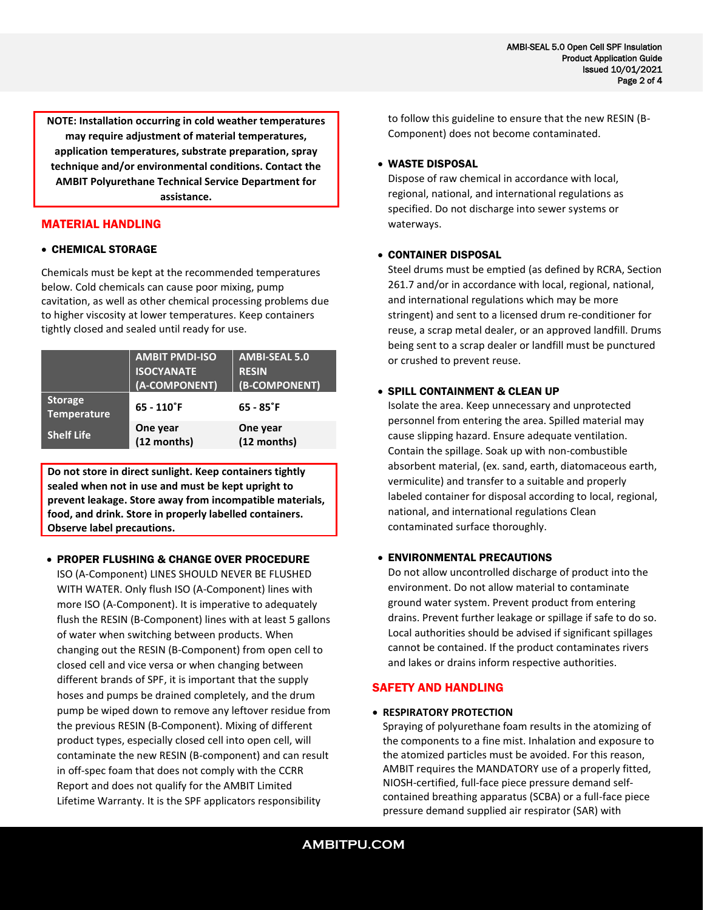**NOTE: Installation occurring in cold weather temperatures may require adjustment of material temperatures, application temperatures, substrate preparation, spray technique and/or environmental conditions. Contact the AMBIT Polyurethane Technical Service Department for assistance.**

#### MATERIAL HANDLING

#### • CHEMICAL STORAGE

Chemicals must be kept at the recommended temperatures below. Cold chemicals can cause poor mixing, pump cavitation, as well as other chemical processing problems due to higher viscosity at lower temperatures. Keep containers tightly closed and sealed until ready for use.

|                                      | <b>AMBIT PMDI-ISO</b><br><b>ISOCYANATE</b><br>(A-COMPONENT) | <b>AMBI-SEAL 5.0</b><br><b>RESIN</b><br>(B-COMPONENT) |
|--------------------------------------|-------------------------------------------------------------|-------------------------------------------------------|
| <b>Storage</b><br><b>Temperature</b> | $65 - 110$ °F                                               | $65 - 85$ °F                                          |
| <b>Shelf Life</b>                    | One year<br>(12 months)                                     | One year<br>(12 months)                               |

**Do not store in direct sunlight. Keep containers tightly sealed when not in use and must be kept upright to prevent leakage. Store away from incompatible materials, food, and drink. Store in properly labelled containers. Observe label precautions.**

#### • PROPER FLUSHING & CHANGE OVER PROCEDURE

ISO (A-Component) LINES SHOULD NEVER BE FLUSHED WITH WATER. Only flush ISO (A-Component) lines with more ISO (A-Component). It is imperative to adequately flush the RESIN (B-Component) lines with at least 5 gallons of water when switching between products. When changing out the RESIN (B-Component) from open cell to closed cell and vice versa or when changing between different brands of SPF, it is important that the supply hoses and pumps be drained completely, and the drum pump be wiped down to remove any leftover residue from the previous RESIN (B-Component). Mixing of different product types, especially closed cell into open cell, will contaminate the new RESIN (B-component) and can result in off-spec foam that does not comply with the CCRR Report and does not qualify for the AMBIT Limited Lifetime Warranty. It is the SPF applicators responsibility

to follow this guideline to ensure that the new RESIN (B-Component) does not become contaminated.

#### • WASTE DISPOSAL

Dispose of raw chemical in accordance with local, regional, national, and international regulations as specified. Do not discharge into sewer systems or waterways.

#### • CONTAINER DISPOSAL

Steel drums must be emptied (as defined by RCRA, Section 261.7 and/or in accordance with local, regional, national, and international regulations which may be more stringent) and sent to a licensed drum re-conditioner for reuse, a scrap metal dealer, or an approved landfill. Drums being sent to a scrap dealer or landfill must be punctured or crushed to prevent reuse.

#### • SPILL CONTAINMENT & CLEAN UP

Isolate the area. Keep unnecessary and unprotected personnel from entering the area. Spilled material may cause slipping hazard. Ensure adequate ventilation. Contain the spillage. Soak up with non-combustible absorbent material, (ex. sand, earth, diatomaceous earth, vermiculite) and transfer to a suitable and properly labeled container for disposal according to local, regional, national, and international regulations Clean contaminated surface thoroughly.

# • ENVIRONMENTAL PRECAUTIONS

Do not allow uncontrolled discharge of product into the environment. Do not allow material to contaminate ground water system. Prevent product from entering drains. Prevent further leakage or spillage if safe to do so. Local authorities should be advised if significant spillages cannot be contained. If the product contaminates rivers and lakes or drains inform respective authorities.

# SAFETY AND HANDLING

#### • **RESPIRATORY PROTECTION**

Spraying of polyurethane foam results in the atomizing of the components to a fine mist. Inhalation and exposure to the atomized particles must be avoided. For this reason, AMBIT requires the MANDATORY use of a properly fitted, NIOSH-certified, full-face piece pressure demand selfcontained breathing apparatus (SCBA) or a full-face piece pressure demand supplied air respirator (SAR) with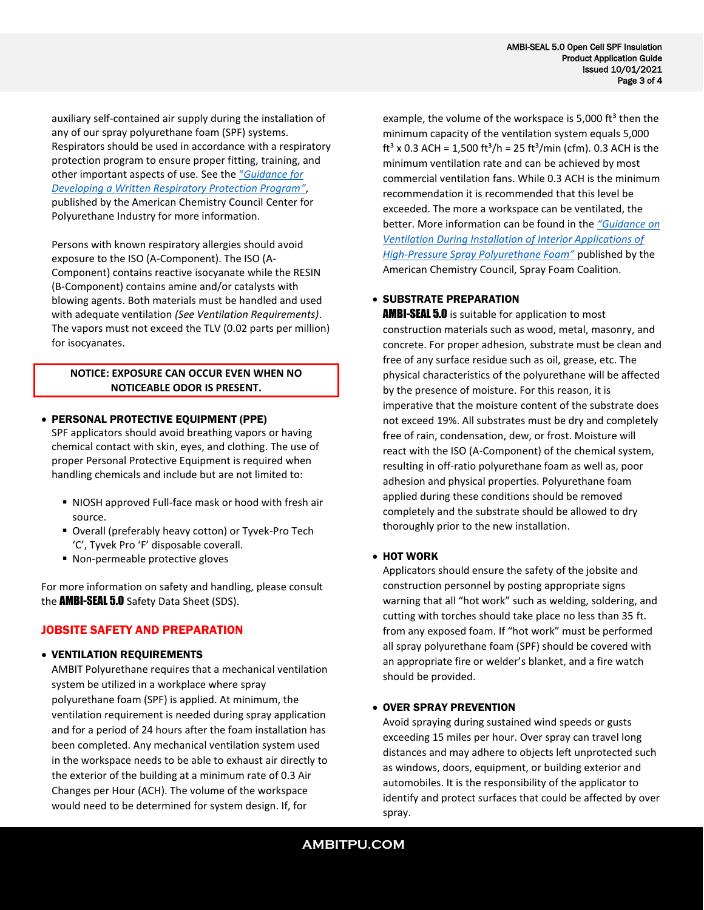auxiliary self-contained air supply during the installation of any of our spray polyurethane foam (SPF) systems. Respirators should be used in accordance with a respiratory protection program to ensure proper fitting, training, and other important aspects of use. See the "*[Guidance for](https://polyurethane.americanchemistry.com/Resources-and-Document-Library/Guidance-for-Developing-a-Written-Respiratory-Protection-Program.pdf)  [Developing a Written Respiratory Protection Program](https://polyurethane.americanchemistry.com/Resources-and-Document-Library/Guidance-for-Developing-a-Written-Respiratory-Protection-Program.pdf)"*, published by the American Chemistry Council Center for Polyurethane Industry for more information.

Persons with known respiratory allergies should avoid exposure to the ISO (A-Component). The ISO (A-Component) contains reactive isocyanate while the RESIN (B-Component) contains amine and/or catalysts with blowing agents. Both materials must be handled and used with adequate ventilation *(See Ventilation Requirements)*. The vapors must not exceed the TLV (0.02 parts per million) for isocyanates.

#### **NOTICE: EXPOSURE CAN OCCUR EVEN WHEN NO NOTICEABLE ODOR IS PRESENT.**

#### • PERSONAL PROTECTIVE EQUIPMENT (PPE)

SPF applicators should avoid breathing vapors or having chemical contact with skin, eyes, and clothing. The use of proper Personal Protective Equipment is required when handling chemicals and include but are not limited to:

- NIOSH approved Full-face mask or hood with fresh air source.
- Overall (preferably heavy cotton) or Tyvek-Pro Tech 'C', Tyvek Pro 'F' disposable coverall.
- Non-permeable protective gloves

For more information on safety and handling, please consult the **AMBI-SEAL 5.0** Safety Data Sheet (SDS).

# JOBSITE SAFETY AND PREPARATION

#### • VENTILATION REQUIREMENTS

AMBIT Polyurethane requires that a mechanical ventilation system be utilized in a workplace where spray polyurethane foam (SPF) is applied. At minimum, the ventilation requirement is needed during spray application and for a period of 24 hours after the foam installation has been completed. Any mechanical ventilation system used in the workspace needs to be able to exhaust air directly to the exterior of the building at a minimum rate of 0.3 Air Changes per Hour (ACH). The volume of the workspace would need to be determined for system design. If, for

example, the volume of the workspace is 5,000  $ft^3$  then the minimum capacity of the ventilation system equals 5,000 ft<sup>3</sup> x 0.3 ACH = 1,500 ft<sup>3</sup>/h = 25 ft<sup>3</sup>/min (cfm). 0.3 ACH is the minimum ventilation rate and can be achieved by most commercial ventilation fans. While 0.3 ACH is the minimum recommendation it is recommended that this level be exceeded. The more a workspace can be ventilated, the better. More information can be found in the *["Guidance on](https://polyurethane.americanchemistry.com/Ventilation-Considerations-for-Spray-Polyurethane-Foam.pdf)  [Ventilation During Installation of Interior Applications of](https://polyurethane.americanchemistry.com/Ventilation-Considerations-for-Spray-Polyurethane-Foam.pdf)  High-[Pressure Spray Polyurethane Foam"](https://polyurethane.americanchemistry.com/Ventilation-Considerations-for-Spray-Polyurethane-Foam.pdf)* published by the American Chemistry Council, Spray Foam Coalition.

# • SUBSTRATE PREPARATION

**AMBI-SEAL 5.0** is suitable for application to most construction materials such as wood, metal, masonry, and concrete. For proper adhesion, substrate must be clean and free of any surface residue such as oil, grease, etc. The physical characteristics of the polyurethane will be affected by the presence of moisture. For this reason, it is imperative that the moisture content of the substrate does not exceed 19%. All substrates must be dry and completely free of rain, condensation, dew, or frost. Moisture will react with the ISO (A-Component) of the chemical system, resulting in off-ratio polyurethane foam as well as, poor adhesion and physical properties. Polyurethane foam applied during these conditions should be removed completely and the substrate should be allowed to dry thoroughly prior to the new installation.

# • HOT WORK

Applicators should ensure the safety of the jobsite and construction personnel by posting appropriate signs warning that all "hot work" such as welding, soldering, and cutting with torches should take place no less than 35 ft. from any exposed foam. If "hot work" must be performed all spray polyurethane foam (SPF) should be covered with an appropriate fire or welder's blanket, and a fire watch should be provided.

# • OVER SPRAY PREVENTION

Avoid spraying during sustained wind speeds or gusts exceeding 15 miles per hour. Over spray can travel long distances and may adhere to objects left unprotected such as windows, doors, equipment, or building exterior and automobiles. It is the responsibility of the applicator to identify and protect surfaces that could be affected by over spray.